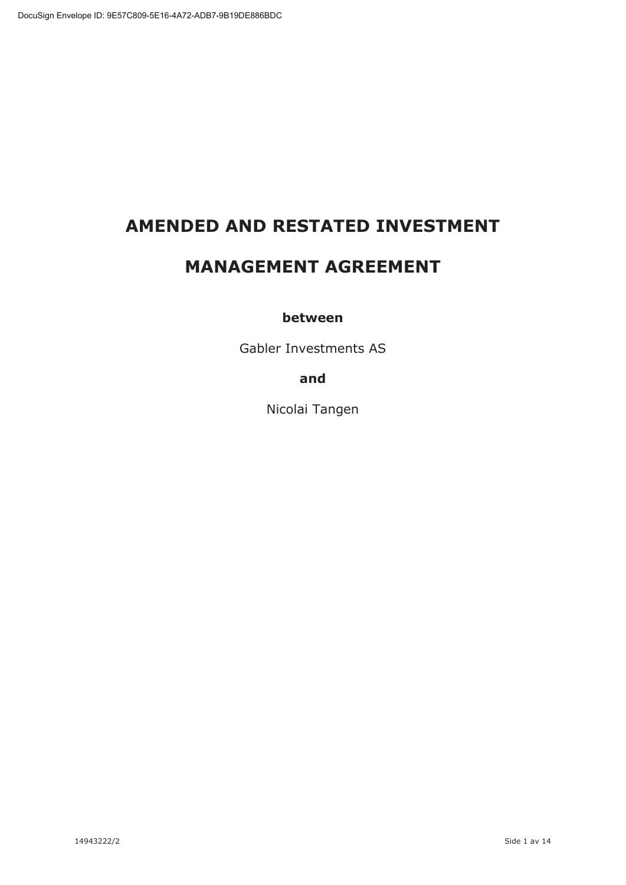# **AMENDED AND RESTATED INVESTMENT**

# **MANAGEMENT AGREEMENT**

# **between**

Gabler Investments AS

**and** 

Nicolai Tangen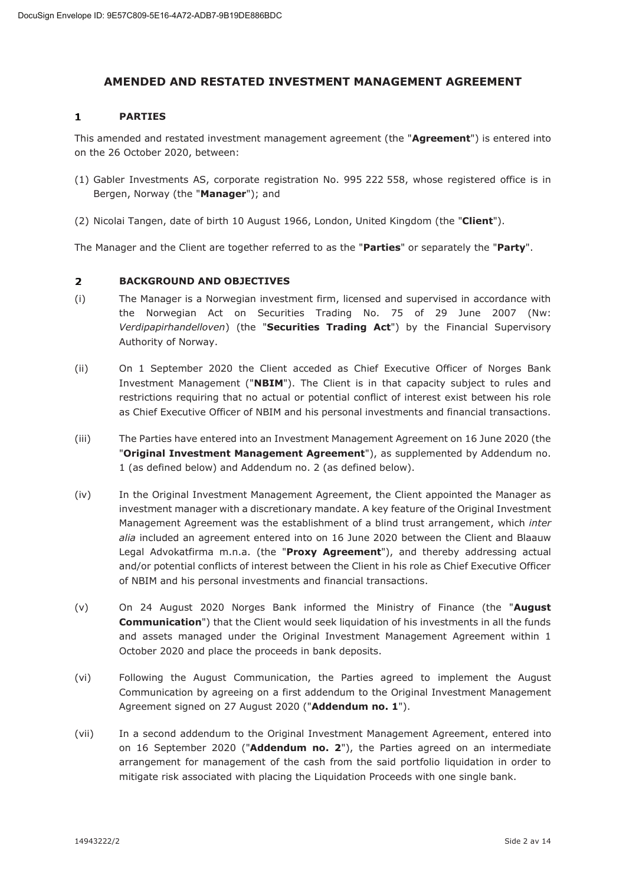## **AMENDED AND RESTATED INVESTMENT MANAGEMENT AGREEMENT**

#### $\mathbf{1}$ **PARTIES**

This amended and restated investment management agreement (the "**Agreement**") is entered into on the 26 October 2020, between:

- (1) Gabler Investments AS, corporate registration No. 995 222 558, whose registered office is in Bergen, Norway (the "**Manager**"); and
- (2) Nicolai Tangen, date of birth 10 August 1966, London, United Kingdom (the "**Client**").

The Manager and the Client are together referred to as the "**Parties**" or separately the "**Party**".

#### $\overline{2}$ **BACKGROUND AND OBJECTIVES**

- (i) The Manager is a Norwegian investment firm, licensed and supervised in accordance with the Norwegian Act on Securities Trading No. 75 of 29 June 2007 (Nw: *Verdipapirhandelloven*) (the "**Securities Trading Act**") by the Financial Supervisory Authority of Norway.
- (ii) On 1 September 2020 the Client acceded as Chief Executive Officer of Norges Bank Investment Management ("**NBIM**"). The Client is in that capacity subject to rules and restrictions requiring that no actual or potential conflict of interest exist between his role as Chief Executive Officer of NBIM and his personal investments and financial transactions.
- (iii) The Parties have entered into an Investment Management Agreement on 16 June 2020 (the "**Original Investment Management Agreement**"), as supplemented by Addendum no. 1 (as defined below) and Addendum no. 2 (as defined below).
- (iv) In the Original Investment Management Agreement, the Client appointed the Manager as investment manager with a discretionary mandate. A key feature of the Original Investment Management Agreement was the establishment of a blind trust arrangement, which *inter alia* included an agreement entered into on 16 June 2020 between the Client and Blaauw Legal Advokatfirma m.n.a. (the "**Proxy Agreement**"), and thereby addressing actual and/or potential conflicts of interest between the Client in his role as Chief Executive Officer of NBIM and his personal investments and financial transactions.
- (v) On 24 August 2020 Norges Bank informed the Ministry of Finance (the "**August Communication**") that the Client would seek liquidation of his investments in all the funds and assets managed under the Original Investment Management Agreement within 1 October 2020 and place the proceeds in bank deposits.
- (vi) Following the August Communication, the Parties agreed to implement the August Communication by agreeing on a first addendum to the Original Investment Management Agreement signed on 27 August 2020 ("**Addendum no. 1**").
- (vii) In a second addendum to the Original Investment Management Agreement, entered into on 16 September 2020 ("**Addendum no. 2**"), the Parties agreed on an intermediate arrangement for management of the cash from the said portfolio liquidation in order to mitigate risk associated with placing the Liquidation Proceeds with one single bank.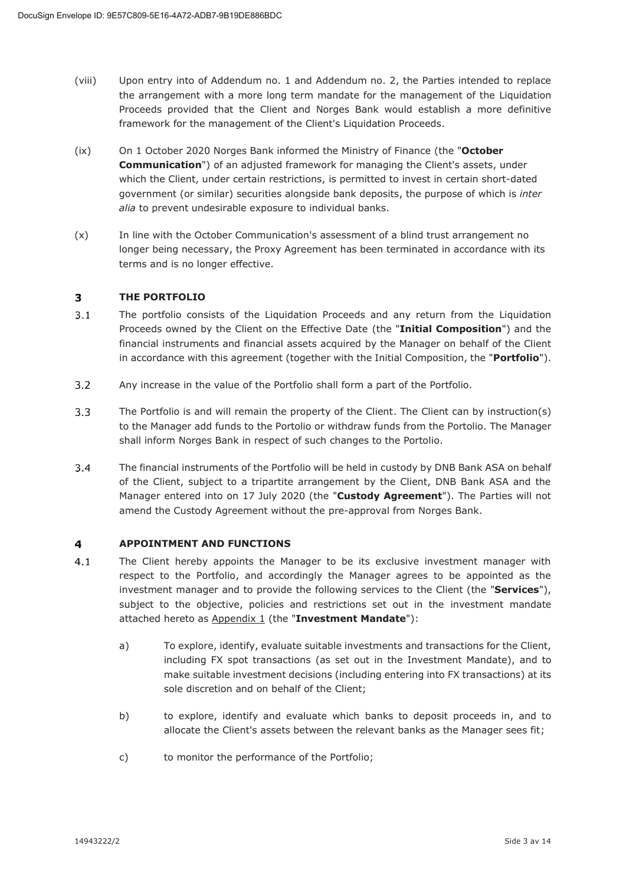- (viii) Upon entry into of Addendum no. 1 and Addendum no. 2, the Parties intended to replace the arrangement with a more long term mandate for the management of the Liquidation Proceeds provided that the Client and Norges Bank would establish a more definitive framework for the management of the Client's Liquidation Proceeds.
- (ix) On 1 October 2020 Norges Bank informed the Ministry of Finance (the "**October Communication**") of an adjusted framework for managing the Client's assets, under which the Client, under certain restrictions, is permitted to invest in certain short-dated government (or similar) securities alongside bank deposits, the purpose of which is *inter alia* to prevent undesirable exposure to individual banks.
- (x) In line with the October Communication's assessment of a blind trust arrangement no longer being necessary, the Proxy Agreement has been terminated in accordance with its terms and is no longer effective.

#### $\overline{\mathbf{3}}$ **THE PORTFOLIO**

- $3.1$ The portfolio consists of the Liquidation Proceeds and any return from the Liquidation Proceeds owned by the Client on the Effective Date (the "**Initial Composition**") and the financial instruments and financial assets acquired by the Manager on behalf of the Client in accordance with this agreement (together with the Initial Composition, the "**Portfolio**").
- $3.2$ Any increase in the value of the Portfolio shall form a part of the Portfolio.
- $3.3$ The Portfolio is and will remain the property of the Client. The Client can by instruction(s) to the Manager add funds to the Portolio or withdraw funds from the Portolio. The Manager shall inform Norges Bank in respect of such changes to the Portolio.
- $3.4$ The financial instruments of the Portfolio will be held in custody by DNB Bank ASA on behalf of the Client, subject to a tripartite arrangement by the Client, DNB Bank ASA and the Manager entered into on 17 July 2020 (the "**Custody Agreement**"). The Parties will not amend the Custody Agreement without the pre-approval from Norges Bank.

#### $\overline{\mathbf{4}}$ **APPOINTMENT AND FUNCTIONS**

- $4.1$ The Client hereby appoints the Manager to be its exclusive investment manager with respect to the Portfolio, and accordingly the Manager agrees to be appointed as the investment manager and to provide the following services to the Client (the "**Services**"), subject to the objective, policies and restrictions set out in the investment mandate attached hereto as Appendix 1 (the "**Investment Mandate**"):
	- a) To explore, identify, evaluate suitable investments and transactions for the Client, including FX spot transactions (as set out in the Investment Mandate), and to make suitable investment decisions (including entering into FX transactions) at its sole discretion and on behalf of the Client;
	- b) to explore, identify and evaluate which banks to deposit proceeds in, and to allocate the Client's assets between the relevant banks as the Manager sees fit;
	- c) to monitor the performance of the Portfolio;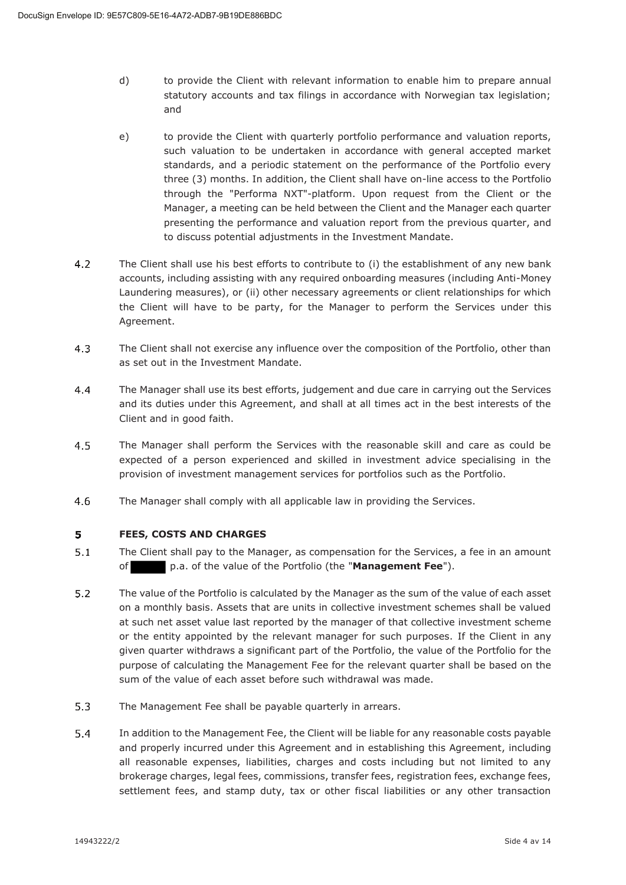- d) to provide the Client with relevant information to enable him to prepare annual statutory accounts and tax filings in accordance with Norwegian tax legislation; and
- e) to provide the Client with quarterly portfolio performance and valuation reports, such valuation to be undertaken in accordance with general accepted market standards, and a periodic statement on the performance of the Portfolio every three (3) months. In addition, the Client shall have on-line access to the Portfolio through the "Performa NXT"-platform. Upon request from the Client or the Manager, a meeting can be held between the Client and the Manager each quarter presenting the performance and valuation report from the previous quarter, and to discuss potential adjustments in the Investment Mandate.
- $4.2$ The Client shall use his best efforts to contribute to (i) the establishment of any new bank accounts, including assisting with any required onboarding measures (including Anti-Money Laundering measures), or (ii) other necessary agreements or client relationships for which the Client will have to be party, for the Manager to perform the Services under this Agreement.
- 4.3 The Client shall not exercise any influence over the composition of the Portfolio, other than as set out in the Investment Mandate.
- $4.4$ The Manager shall use its best efforts, judgement and due care in carrying out the Services and its duties under this Agreement, and shall at all times act in the best interests of the Client and in good faith.
- $4.5$ The Manager shall perform the Services with the reasonable skill and care as could be expected of a person experienced and skilled in investment advice specialising in the provision of investment management services for portfolios such as the Portfolio.
- 4.6 The Manager shall comply with all applicable law in providing the Services.

#### 5 **FEES, COSTS AND CHARGES**

- $5.1$ The Client shall pay to the Manager, as compensation for the Services, a fee in an amount of p.a. of the value of the Portfolio (the "**Management Fee**").
- $5.2$ The value of the Portfolio is calculated by the Manager as the sum of the value of each asset on a monthly basis. Assets that are units in collective investment schemes shall be valued at such net asset value last reported by the manager of that collective investment scheme or the entity appointed by the relevant manager for such purposes. If the Client in any given quarter withdraws a significant part of the Portfolio, the value of the Portfolio for the purpose of calculating the Management Fee for the relevant quarter shall be based on the sum of the value of each asset before such withdrawal was made.
- $5.3$ The Management Fee shall be payable quarterly in arrears.
- $5.4$ In addition to the Management Fee, the Client will be liable for any reasonable costs payable and properly incurred under this Agreement and in establishing this Agreement, including all reasonable expenses, liabilities, charges and costs including but not limited to any brokerage charges, legal fees, commissions, transfer fees, registration fees, exchange fees, settlement fees, and stamp duty, tax or other fiscal liabilities or any other transaction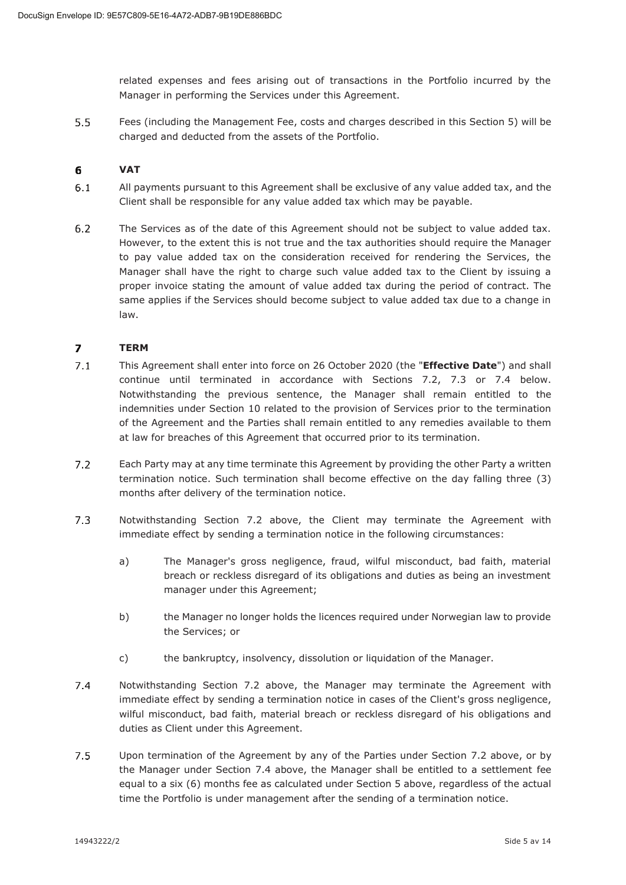related expenses and fees arising out of transactions in the Portfolio incurred by the Manager in performing the Services under this Agreement.

 $5.5$ Fees (including the Management Fee, costs and charges described in this Section 5) will be charged and deducted from the assets of the Portfolio.

#### 6 **VAT**

- $6.1$ All payments pursuant to this Agreement shall be exclusive of any value added tax, and the Client shall be responsible for any value added tax which may be payable.
- $6.2$ The Services as of the date of this Agreement should not be subject to value added tax. However, to the extent this is not true and the tax authorities should require the Manager to pay value added tax on the consideration received for rendering the Services, the Manager shall have the right to charge such value added tax to the Client by issuing a proper invoice stating the amount of value added tax during the period of contract. The same applies if the Services should become subject to value added tax due to a change in law.

#### $\overline{ }$ **TERM**

- $7.1$ This Agreement shall enter into force on 26 October 2020 (the "**Effective Date**") and shall continue until terminated in accordance with Sections 7.2, 7.3 or 7.4 below. Notwithstanding the previous sentence, the Manager shall remain entitled to the indemnities under Section 10 related to the provision of Services prior to the termination of the Agreement and the Parties shall remain entitled to any remedies available to them at law for breaches of this Agreement that occurred prior to its termination.
- $7.2$ Each Party may at any time terminate this Agreement by providing the other Party a written termination notice. Such termination shall become effective on the day falling three (3) months after delivery of the termination notice.
- $7.3$ Notwithstanding Section 7.2 above, the Client may terminate the Agreement with immediate effect by sending a termination notice in the following circumstances:
	- a) The Manager's gross negligence, fraud, wilful misconduct, bad faith, material breach or reckless disregard of its obligations and duties as being an investment manager under this Agreement;
	- b) the Manager no longer holds the licences required under Norwegian law to provide the Services; or
	- c) the bankruptcy, insolvency, dissolution or liquidation of the Manager.
- 7.4 Notwithstanding Section 7.2 above, the Manager may terminate the Agreement with immediate effect by sending a termination notice in cases of the Client's gross negligence, wilful misconduct, bad faith, material breach or reckless disregard of his obligations and duties as Client under this Agreement.
- $7.5$ Upon termination of the Agreement by any of the Parties under Section 7.2 above, or by the Manager under Section 7.4 above, the Manager shall be entitled to a settlement fee equal to a six (6) months fee as calculated under Section 5 above, regardless of the actual time the Portfolio is under management after the sending of a termination notice.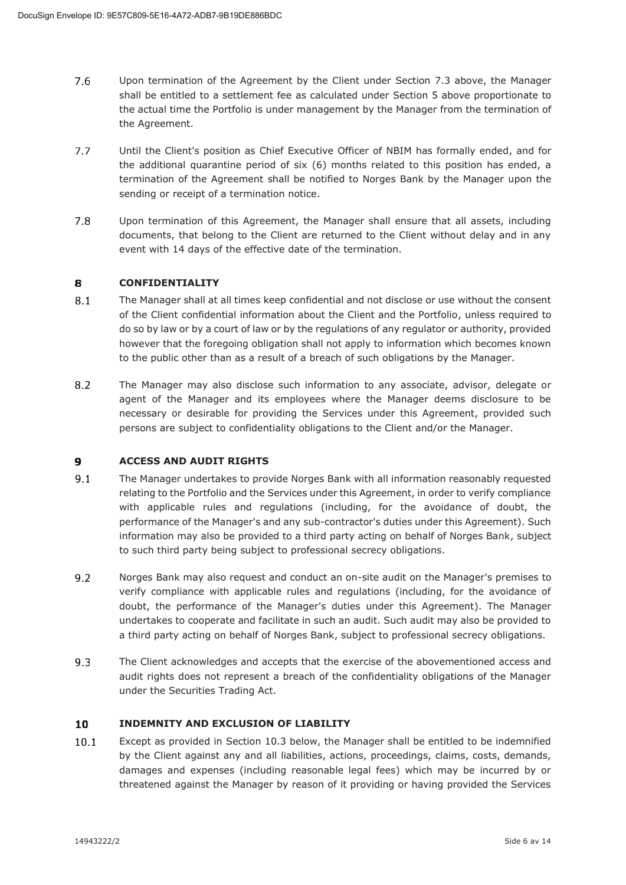- $7.6$ Upon termination of the Agreement by the Client under Section 7.3 above, the Manager shall be entitled to a settlement fee as calculated under Section 5 above proportionate to the actual time the Portfolio is under management by the Manager from the termination of the Agreement.
- $7.7$ Until the Client's position as Chief Executive Officer of NBIM has formally ended, and for the additional quarantine period of six (6) months related to this position has ended, a termination of the Agreement shall be notified to Norges Bank by the Manager upon the sending or receipt of a termination notice.
- 7.8 Upon termination of this Agreement, the Manager shall ensure that all assets, including documents, that belong to the Client are returned to the Client without delay and in any event with 14 days of the effective date of the termination.

#### 8 **CONFIDENTIALITY**

- $8.1$ The Manager shall at all times keep confidential and not disclose or use without the consent of the Client confidential information about the Client and the Portfolio, unless required to do so by law or by a court of law or by the regulations of any regulator or authority, provided however that the foregoing obligation shall not apply to information which becomes known to the public other than as a result of a breach of such obligations by the Manager.
- $8.2$ The Manager may also disclose such information to any associate, advisor, delegate or agent of the Manager and its employees where the Manager deems disclosure to be necessary or desirable for providing the Services under this Agreement, provided such persons are subject to confidentiality obligations to the Client and/or the Manager.

#### $\mathbf{9}$ **ACCESS AND AUDIT RIGHTS**

- $9.1$ The Manager undertakes to provide Norges Bank with all information reasonably requested relating to the Portfolio and the Services under this Agreement, in order to verify compliance with applicable rules and regulations (including, for the avoidance of doubt, the performance of the Manager's and any sub-contractor's duties under this Agreement). Such information may also be provided to a third party acting on behalf of Norges Bank, subject to such third party being subject to professional secrecy obligations.
- $9.2$ Norges Bank may also request and conduct an on-site audit on the Manager's premises to verify compliance with applicable rules and regulations (including, for the avoidance of doubt, the performance of the Manager's duties under this Agreement). The Manager undertakes to cooperate and facilitate in such an audit. Such audit may also be provided to a third party acting on behalf of Norges Bank, subject to professional secrecy obligations.
- 9.3 The Client acknowledges and accepts that the exercise of the abovementioned access and audit rights does not represent a breach of the confidentiality obligations of the Manager under the Securities Trading Act.

#### 10 **INDEMNITY AND EXCLUSION OF LIABILITY**

 $10.1$ Except as provided in Section 10.3 below, the Manager shall be entitled to be indemnified by the Client against any and all liabilities, actions, proceedings, claims, costs, demands, damages and expenses (including reasonable legal fees) which may be incurred by or threatened against the Manager by reason of it providing or having provided the Services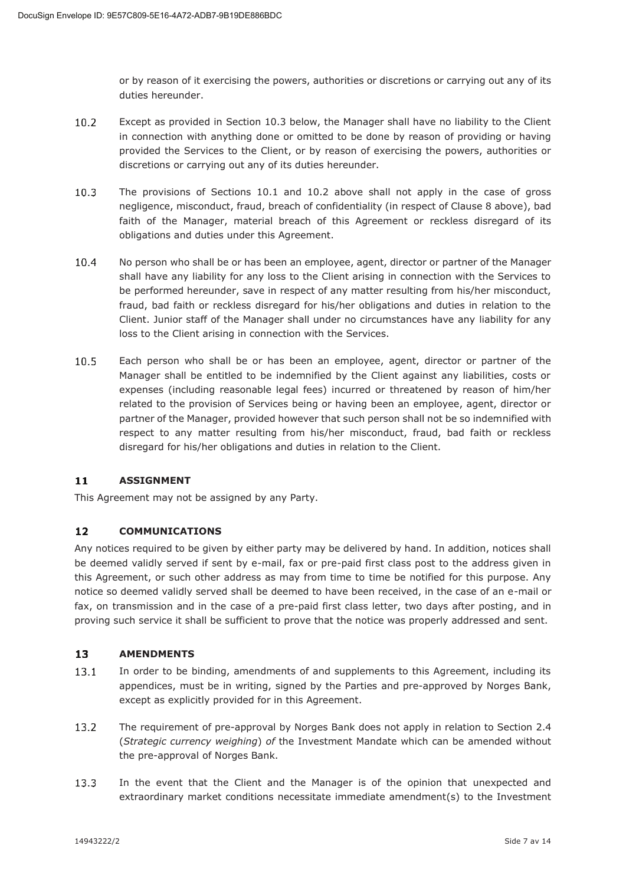or by reason of it exercising the powers, authorities or discretions or carrying out any of its duties hereunder.

- $10.2$ Except as provided in Section 10.3 below, the Manager shall have no liability to the Client in connection with anything done or omitted to be done by reason of providing or having provided the Services to the Client, or by reason of exercising the powers, authorities or discretions or carrying out any of its duties hereunder.
- $10.3$ The provisions of Sections 10.1 and 10.2 above shall not apply in the case of gross negligence, misconduct, fraud, breach of confidentiality (in respect of Clause 8 above), bad faith of the Manager, material breach of this Agreement or reckless disregard of its obligations and duties under this Agreement.
- 10.4 No person who shall be or has been an employee, agent, director or partner of the Manager shall have any liability for any loss to the Client arising in connection with the Services to be performed hereunder, save in respect of any matter resulting from his/her misconduct, fraud, bad faith or reckless disregard for his/her obligations and duties in relation to the Client. Junior staff of the Manager shall under no circumstances have any liability for any loss to the Client arising in connection with the Services.
- $10.5$ Each person who shall be or has been an employee, agent, director or partner of the Manager shall be entitled to be indemnified by the Client against any liabilities, costs or expenses (including reasonable legal fees) incurred or threatened by reason of him/her related to the provision of Services being or having been an employee, agent, director or partner of the Manager, provided however that such person shall not be so indemnified with respect to any matter resulting from his/her misconduct, fraud, bad faith or reckless disregard for his/her obligations and duties in relation to the Client.

#### **ASSIGNMENT**  $11$

This Agreement may not be assigned by any Party.

#### $12$ **COMMUNICATIONS**

Any notices required to be given by either party may be delivered by hand. In addition, notices shall be deemed validly served if sent by e-mail, fax or pre-paid first class post to the address given in this Agreement, or such other address as may from time to time be notified for this purpose. Any notice so deemed validly served shall be deemed to have been received, in the case of an e-mail or fax, on transmission and in the case of a pre-paid first class letter, two days after posting, and in proving such service it shall be sufficient to prove that the notice was properly addressed and sent.

#### $13<sub>1</sub>$ **AMENDMENTS**

- $13.1$ In order to be binding, amendments of and supplements to this Agreement, including its appendices, must be in writing, signed by the Parties and pre-approved by Norges Bank, except as explicitly provided for in this Agreement.
- $13.2$ The requirement of pre-approval by Norges Bank does not apply in relation to Section 2.4 (*Strategic currency weighing*) *of* the Investment Mandate which can be amended without the pre-approval of Norges Bank.
- $13.3$ In the event that the Client and the Manager is of the opinion that unexpected and extraordinary market conditions necessitate immediate amendment(s) to the Investment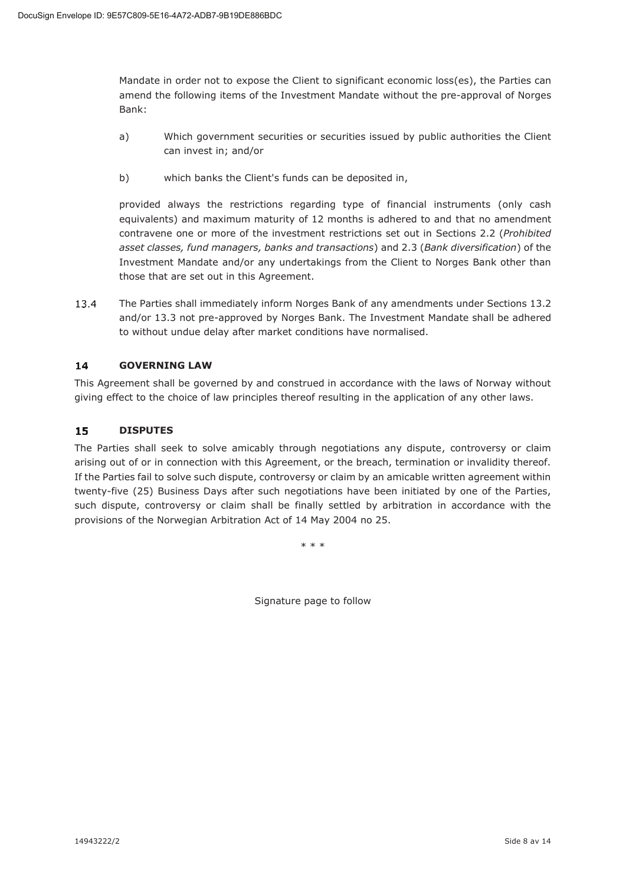Mandate in order not to expose the Client to significant economic loss(es), the Parties can amend the following items of the Investment Mandate without the pre-approval of Norges Bank:

- a) Which government securities or securities issued by public authorities the Client can invest in; and/or
- b) which banks the Client's funds can be deposited in,

provided always the restrictions regarding type of financial instruments (only cash equivalents) and maximum maturity of 12 months is adhered to and that no amendment contravene one or more of the investment restrictions set out in Sections 2.2 (*Prohibited asset classes, fund managers, banks and transactions*) and 2.3 (*Bank diversification*) of the Investment Mandate and/or any undertakings from the Client to Norges Bank other than those that are set out in this Agreement.

13.4 The Parties shall immediately inform Norges Bank of any amendments under Sections 13.2 and/or 13.3 not pre-approved by Norges Bank. The Investment Mandate shall be adhered to without undue delay after market conditions have normalised.

#### $14$ **GOVERNING LAW**

This Agreement shall be governed by and construed in accordance with the laws of Norway without giving effect to the choice of law principles thereof resulting in the application of any other laws.

#### 15 **DISPUTES**

The Parties shall seek to solve amicably through negotiations any dispute, controversy or claim arising out of or in connection with this Agreement, or the breach, termination or invalidity thereof. If the Parties fail to solve such dispute, controversy or claim by an amicable written agreement within twenty-five (25) Business Days after such negotiations have been initiated by one of the Parties, such dispute, controversy or claim shall be finally settled by arbitration in accordance with the provisions of the Norwegian Arbitration Act of 14 May 2004 no 25.

\* \* \*

Signature page to follow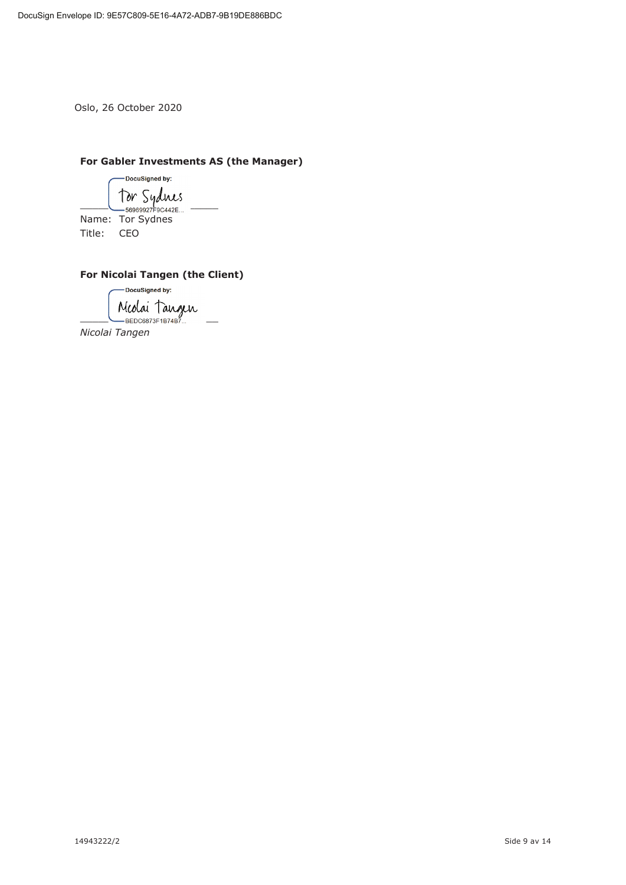Oslo, 26 October 2020

### **For Gabler Investments AS (the Manager)**

DocuSigned by: \_\_\_\_\_ \_\_\_\_\_

Name: Tor Sydnes Title: CEO

## **For Nicolai Tangen (the Client)**

— DocuSigned by: Mcolai Tangen

*Nicolai Tangen*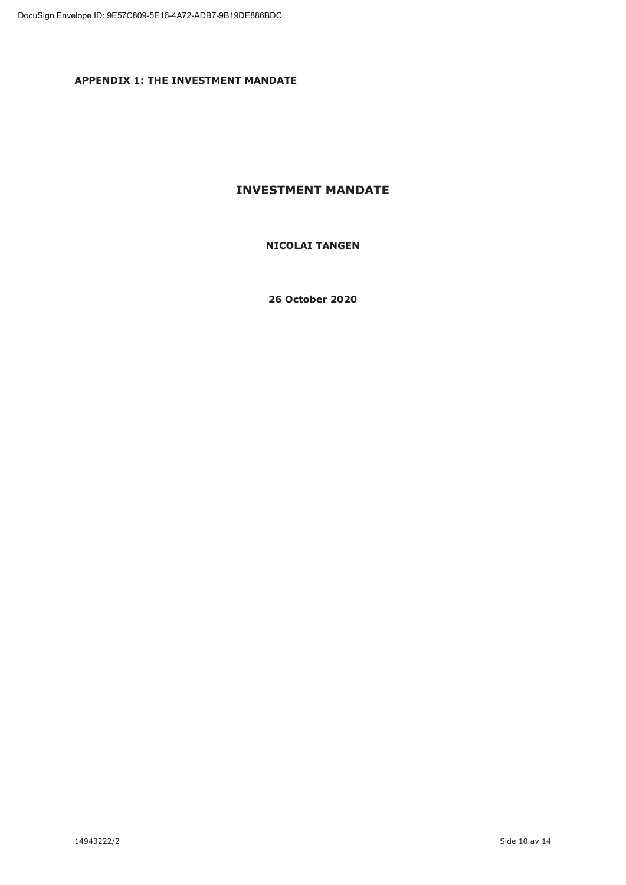**APPENDIX 1: THE INVESTMENT MANDATE** 

# **INVESTMENT MANDATE**

### **NICOLAI TANGEN**

**26 October 2020**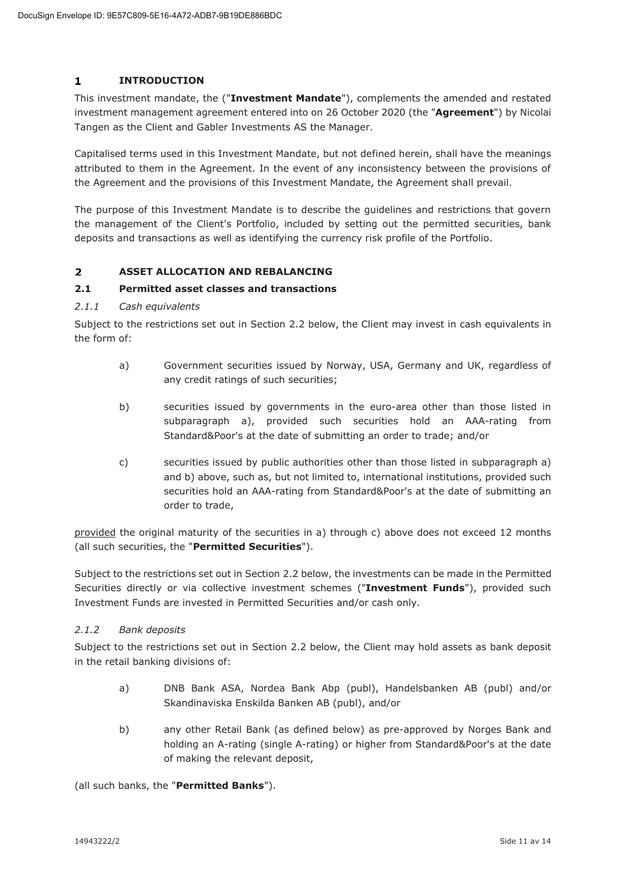#### $\mathbf{1}$ **INTRODUCTION**

This investment mandate, the ("**Investment Mandate**"), complements the amended and restated investment management agreement entered into on 26 October 2020 (the "**Agreement**") by Nicolai Tangen as the Client and Gabler Investments AS the Manager.

Capitalised terms used in this Investment Mandate, but not defined herein, shall have the meanings attributed to them in the Agreement. In the event of any inconsistency between the provisions of the Agreement and the provisions of this Investment Mandate, the Agreement shall prevail.

The purpose of this Investment Mandate is to describe the guidelines and restrictions that govern the management of the Client's Portfolio, included by setting out the permitted securities, bank deposits and transactions as well as identifying the currency risk profile of the Portfolio.

#### $\overline{2}$ **ASSET ALLOCATION AND REBALANCING**

### **2.1 Permitted asset classes and transactions**

### *2.1.1 Cash equivalents*

Subject to the restrictions set out in Section 2.2 below, the Client may invest in cash equivalents in the form of:

- a) Government securities issued by Norway, USA, Germany and UK, regardless of any credit ratings of such securities;
- b) securities issued by governments in the euro-area other than those listed in subparagraph a), provided such securities hold an AAA-rating from Standard&Poor's at the date of submitting an order to trade; and/or
- c) securities issued by public authorities other than those listed in subparagraph a) and b) above, such as, but not limited to, international institutions, provided such securities hold an AAA-rating from Standard&Poor's at the date of submitting an order to trade,

provided the original maturity of the securities in a) through c) above does not exceed 12 months (all such securities, the "**Permitted Securities**").

Subject to the restrictions set out in Section 2.2 below, the investments can be made in the Permitted Securities directly or via collective investment schemes ("**Investment Funds**"), provided such Investment Funds are invested in Permitted Securities and/or cash only.

### *2.1.2 Bank deposits*

Subject to the restrictions set out in Section 2.2 below, the Client may hold assets as bank deposit in the retail banking divisions of:

- a) DNB Bank ASA, Nordea Bank Abp (publ), Handelsbanken AB (publ) and/or Skandinaviska Enskilda Banken AB (publ), and/or
- b) any other Retail Bank (as defined below) as pre-approved by Norges Bank and holding an A-rating (single A-rating) or higher from Standard&Poor's at the date of making the relevant deposit,

(all such banks, the "**Permitted Banks**").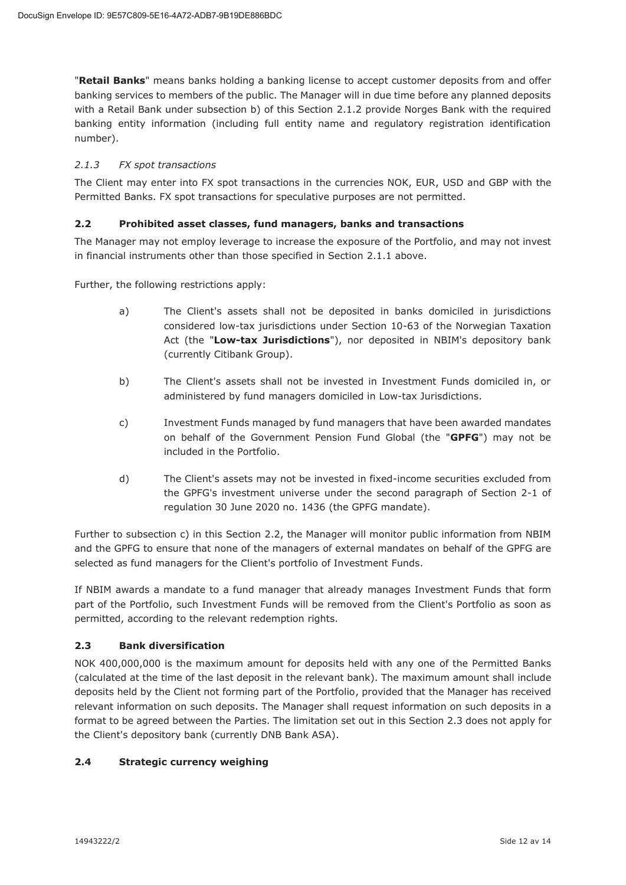"**Retail Banks**" means banks holding a banking license to accept customer deposits from and offer banking services to members of the public. The Manager will in due time before any planned deposits with a Retail Bank under subsection b) of this Section 2.1.2 provide Norges Bank with the required banking entity information (including full entity name and regulatory registration identification number).

### *2.1.3 FX spot transactions*

The Client may enter into FX spot transactions in the currencies NOK, EUR, USD and GBP with the Permitted Banks. FX spot transactions for speculative purposes are not permitted.

### **2.2 Prohibited asset classes, fund managers, banks and transactions**

The Manager may not employ leverage to increase the exposure of the Portfolio, and may not invest in financial instruments other than those specified in Section 2.1.1 above.

Further, the following restrictions apply:

- a) The Client's assets shall not be deposited in banks domiciled in jurisdictions considered low-tax jurisdictions under Section 10-63 of the Norwegian Taxation Act (the "**Low-tax Jurisdictions**"), nor deposited in NBIM's depository bank (currently Citibank Group).
- b) The Client's assets shall not be invested in Investment Funds domiciled in, or administered by fund managers domiciled in Low-tax Jurisdictions.
- c) Investment Funds managed by fund managers that have been awarded mandates on behalf of the Government Pension Fund Global (the "**GPFG**") may not be included in the Portfolio.
- d) The Client's assets may not be invested in fixed-income securities excluded from the GPFG's investment universe under the second paragraph of Section 2-1 of regulation 30 June 2020 no. 1436 (the GPFG mandate).

Further to subsection c) in this Section 2.2, the Manager will monitor public information from NBIM and the GPFG to ensure that none of the managers of external mandates on behalf of the GPFG are selected as fund managers for the Client's portfolio of Investment Funds.

If NBIM awards a mandate to a fund manager that already manages Investment Funds that form part of the Portfolio, such Investment Funds will be removed from the Client's Portfolio as soon as permitted, according to the relevant redemption rights.

### **2.3 Bank diversification**

NOK 400,000,000 is the maximum amount for deposits held with any one of the Permitted Banks (calculated at the time of the last deposit in the relevant bank). The maximum amount shall include deposits held by the Client not forming part of the Portfolio, provided that the Manager has received relevant information on such deposits. The Manager shall request information on such deposits in a format to be agreed between the Parties. The limitation set out in this Section 2.3 does not apply for the Client's depository bank (currently DNB Bank ASA).

### **2.4 Strategic currency weighing**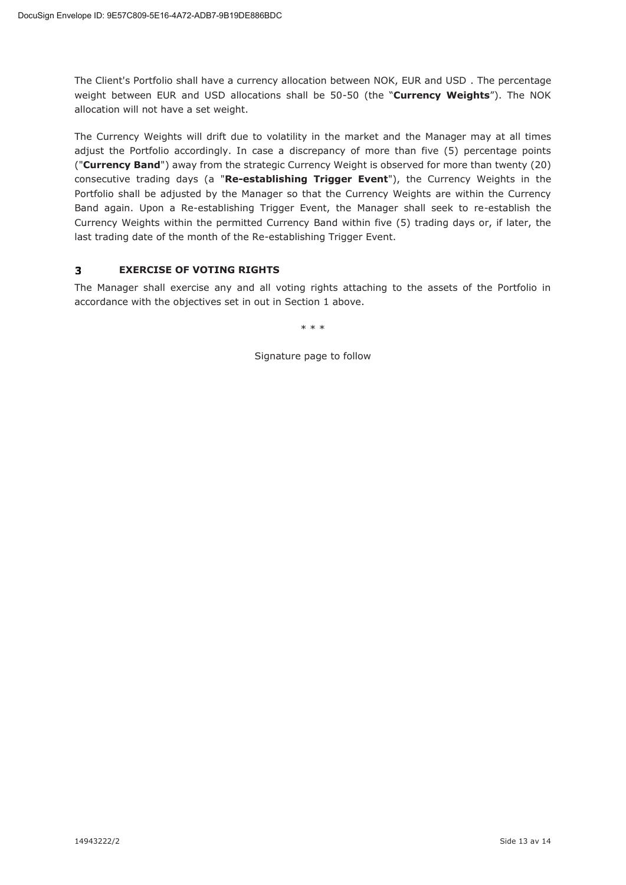The Client's Portfolio shall have a currency allocation between NOK, EUR and USD . The percentage weight between EUR and USD allocations shall be 50-50 (the "**Currency Weights**"). The NOK allocation will not have a set weight.

The Currency Weights will drift due to volatility in the market and the Manager may at all times adjust the Portfolio accordingly. In case a discrepancy of more than five (5) percentage points ("**Currency Band**") away from the strategic Currency Weight is observed for more than twenty (20) consecutive trading days (a "**Re-establishing Trigger Event**"), the Currency Weights in the Portfolio shall be adjusted by the Manager so that the Currency Weights are within the Currency Band again. Upon a Re-establishing Trigger Event, the Manager shall seek to re-establish the Currency Weights within the permitted Currency Band within five (5) trading days or, if later, the last trading date of the month of the Re-establishing Trigger Event.

#### **EXERCISE OF VOTING RIGHTS**  3

The Manager shall exercise any and all voting rights attaching to the assets of the Portfolio in accordance with the objectives set in out in Section 1 above.

\* \* \*

Signature page to follow